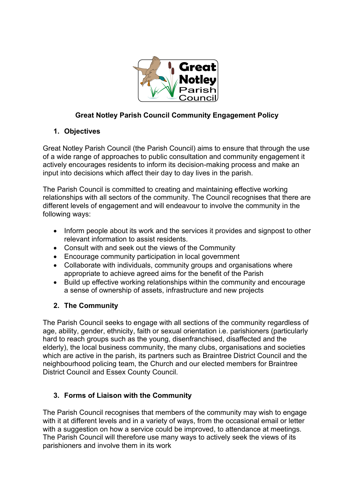

# **Great Notley Parish Council Community Engagement Policy**

# **1. Objectives**

Great Notley Parish Council (the Parish Council) aims to ensure that through the use of a wide range of approaches to public consultation and community engagement it actively encourages residents to inform its decision-making process and make an input into decisions which affect their day to day lives in the parish.

The Parish Council is committed to creating and maintaining effective working relationships with all sectors of the community. The Council recognises that there are different levels of engagement and will endeavour to involve the community in the following ways:

- Inform people about its work and the services it provides and signpost to other relevant information to assist residents.
- Consult with and seek out the views of the Community
- Encourage community participation in local government
- Collaborate with individuals, community groups and organisations where appropriate to achieve agreed aims for the benefit of the Parish
- Build up effective working relationships within the community and encourage a sense of ownership of assets, infrastructure and new projects

# **2. The Community**

The Parish Council seeks to engage with all sections of the community regardless of age, ability, gender, ethnicity, faith or sexual orientation i.e. parishioners (particularly hard to reach groups such as the young, disenfranchised, disaffected and the elderly), the local business community, the many clubs, organisations and societies which are active in the parish, its partners such as Braintree District Council and the neighbourhood policing team, the Church and our elected members for Braintree District Council and Essex County Council.

# **3. Forms of Liaison with the Community**

The Parish Council recognises that members of the community may wish to engage with it at different levels and in a variety of ways, from the occasional email or letter with a suggestion on how a service could be improved, to attendance at meetings. The Parish Council will therefore use many ways to actively seek the views of its parishioners and involve them in its work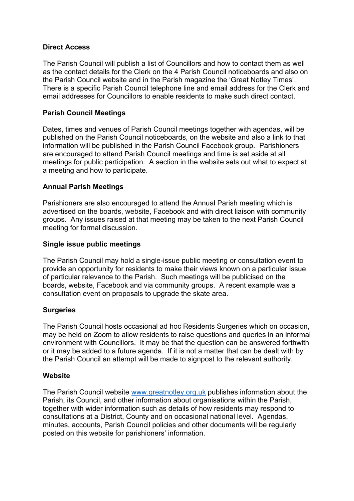### **Direct Access**

The Parish Council will publish a list of Councillors and how to contact them as well as the contact details for the Clerk on the 4 Parish Council noticeboards and also on the Parish Council website and in the Parish magazine the 'Great Notley Times'. There is a specific Parish Council telephone line and email address for the Clerk and email addresses for Councillors to enable residents to make such direct contact.

## **Parish Council Meetings**

Dates, times and venues of Parish Council meetings together with agendas, will be published on the Parish Council noticeboards, on the website and also a link to that information will be published in the Parish Council Facebook group. Parishioners are encouraged to attend Parish Council meetings and time is set aside at all meetings for public participation. A section in the website sets out what to expect at a meeting and how to participate.

## **Annual Parish Meetings**

Parishioners are also encouraged to attend the Annual Parish meeting which is advertised on the boards, website, Facebook and with direct liaison with community groups. Any issues raised at that meeting may be taken to the next Parish Council meeting for formal discussion.

### **Single issue public meetings**

The Parish Council may hold a single-issue public meeting or consultation event to provide an opportunity for residents to make their views known on a particular issue of particular relevance to the Parish. Such meetings will be publicised on the boards, website, Facebook and via community groups. A recent example was a consultation event on proposals to upgrade the skate area.

# **Surgeries**

The Parish Council hosts occasional ad hoc Residents Surgeries which on occasion, may be held on Zoom to allow residents to raise questions and queries in an informal environment with Councillors. It may be that the question can be answered forthwith or it may be added to a future agenda. If it is not a matter that can be dealt with by the Parish Council an attempt will be made to signpost to the relevant authority.

### **Website**

The Parish Council website [www.greatnotley.org.uk](http://www.greatnotley.org.uk/) publishes information about the Parish, its Council, and other information about organisations within the Parish, together with wider information such as details of how residents may respond to consultations at a District, County and on occasional national level. Agendas, minutes, accounts, Parish Council policies and other documents will be regularly posted on this website for parishioners' information.